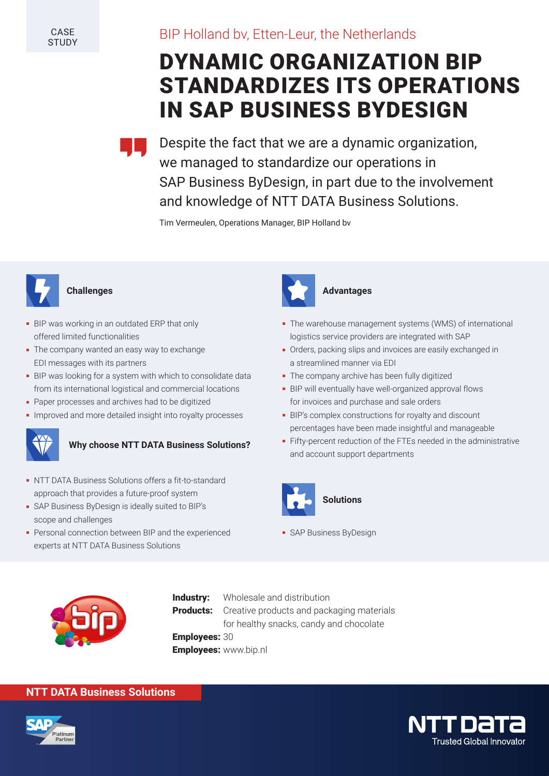**CASE STUDY** 

# BIP Holland bv, Etten-Leur, the Netherlands

# DYNAMIC ORGANIZATION BIP STANDARDIZES ITS OPERATIONS IN SAP BUSINESS BYDESIGN



Despite the fact that we are a dynamic organization, we managed to standardize our operations in SAP Business ByDesign, in part due to the involvement and knowledge of NTT DATA Business Solutions.

Tim Vermeulen, Operations Manager, BIP Holland bv



### **Challenges**

- BIP was working in an outdated ERP that only offered limited functionalities
- The company wanted an easy way to exchange EDI messages with its partners
- BIP was looking for a system with which to consolidate data from its international logistical and commercial locations
- Paper processes and archives had to be digitized
- Improved and more detailed insight into royalty processes



# **Why choose NTT DATA Business Solutions?**

- NTT DATA Business Solutions offers a fit-to-standard approach that provides a future-proof system
- SAP Business ByDesign is ideally suited to BIP's scope and challenges
- Personal connection between BIP and the experienced experts at NTT DATA Business Solutions



### **Advantages**

- The warehouse management systems (WMS) of international logistics service providers are integrated with SAP
- Orders, packing slips and invoices are easily exchanged in a streamlined manner via EDI
- The company archive has been fully digitized
- BIP will eventually have well-organized approval flows for invoices and purchase and sale orders
- **BENEFIES AND SECURE AND SEXUS AND SEXUS AND SEXUS AND SEXUS AND SEXUS AND SEXUS AND SEXUS AND SEXUS AND SEXUS AN<br>
BIP's complex constructions for royalty and discount** percentages have been made insightful and manageable
	- Fifty-percent reduction of the FTEs needed in the administrative and account support departments



- SAP Business ByDesign



**Industry:** Wholesale and distribution **Products:** Creative products and packaging materials for healthy snacks, candy and chocolate Employees: 30 Employees: www.bip.nl

### **NTT DATA Business Solutions**



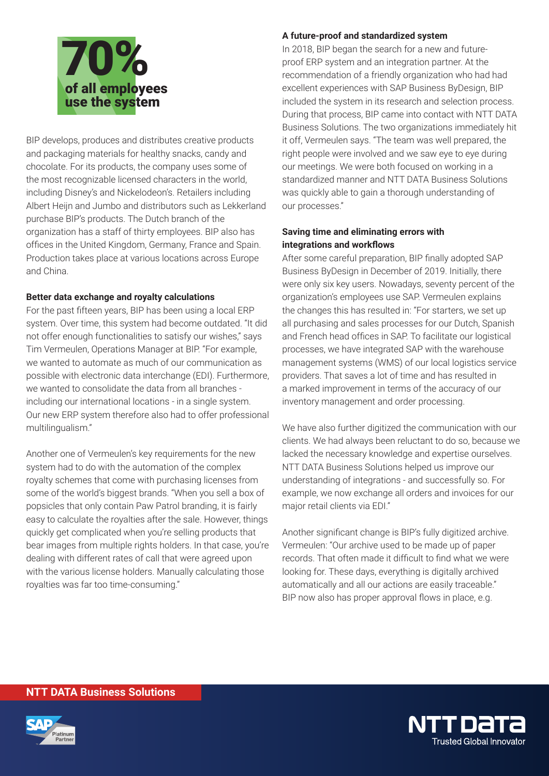

BIP develops, produces and distributes creative products and packaging materials for healthy snacks, candy and chocolate. For its products, the company uses some of the most recognizable licensed characters in the world, including Disney's and Nickelodeon's. Retailers including Albert Heijn and Jumbo and distributors such as Lekkerland purchase BIP's products. The Dutch branch of the organization has a staff of thirty employees. BIP also has offices in the United Kingdom, Germany, France and Spain. Production takes place at various locations across Europe and China.

### **Better data exchange and royalty calculations**

For the past fifteen years, BIP has been using a local ERP system. Over time, this system had become outdated. "It did not offer enough functionalities to satisfy our wishes," says Tim Vermeulen, Operations Manager at BIP. "For example, we wanted to automate as much of our communication as possible with electronic data interchange (EDI). Furthermore, we wanted to consolidate the data from all branches including our international locations - in a single system. Our new ERP system therefore also had to offer professional multilingualism."

Another one of Vermeulen's key requirements for the new system had to do with the automation of the complex royalty schemes that come with purchasing licenses from some of the world's biggest brands. "When you sell a box of popsicles that only contain Paw Patrol branding, it is fairly easy to calculate the royalties after the sale. However, things quickly get complicated when you're selling products that bear images from multiple rights holders. In that case, you're dealing with different rates of call that were agreed upon with the various license holders. Manually calculating those royalties was far too time-consuming."

A future-proof and standardized system<br>In 2018, BIP began the search for a new a<br>proof ERP system and an integration part In 2018, BIP began the search for a new and futureproof ERP system and an integration partner. At the recommendation of a friendly organization who had had excellent experiences with SAP Business ByDesign, BIP included the system in its research and selection process. During that process, BIP came into contact with NTT DATA Business Solutions. The two organizations immediately hit it off, Vermeulen says. "The team was well prepared, the right people were involved and we saw eye to eye during our meetings. We were both focused on working in a standardized manner and NTT DATA Business Solutions was quickly able to gain a thorough understanding of our processes."

### **Saving time and eliminating errors with integrations and workflows**

After some careful preparation, BIP finally adopted SAP Business ByDesign in December of 2019. Initially, there were only six key users. Nowadays, seventy percent of the organization's employees use SAP. Vermeulen explains the changes this has resulted in: "For starters, we set up all purchasing and sales processes for our Dutch, Spanish and French head offices in SAP. To facilitate our logistical processes, we have integrated SAP with the warehouse management systems (WMS) of our local logistics service providers. That saves a lot of time and has resulted in a marked improvement in terms of the accuracy of our inventory management and order processing.

We have also further digitized the communication with our clients. We had always been reluctant to do so, because we lacked the necessary knowledge and expertise ourselves. NTT DATA Business Solutions helped us improve our understanding of integrations - and successfully so. For example, we now exchange all orders and invoices for our major retail clients via EDI."

Another significant change is BIP's fully digitized archive. Vermeulen: "Our archive used to be made up of paper records. That often made it difficult to find what we were looking for. These days, everything is digitally archived automatically and all our actions are easily traceable." BIP now also has proper approval flows in place, e.g.

### **NTT DATA Business Solutions**